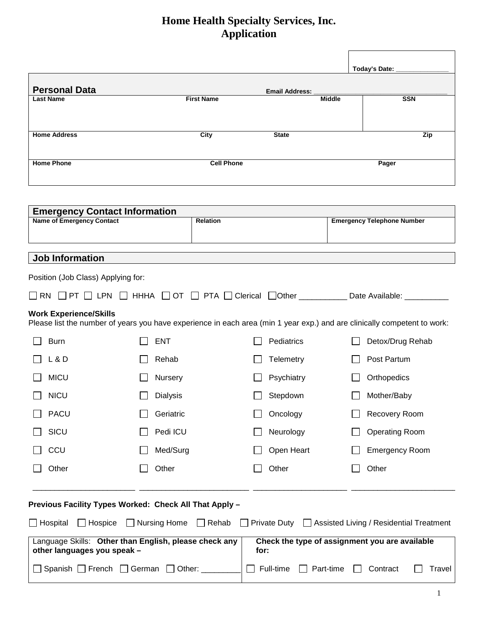|                                                                          |                                                                 |                       | Today's Date:                                                                                                                      |
|--------------------------------------------------------------------------|-----------------------------------------------------------------|-----------------------|------------------------------------------------------------------------------------------------------------------------------------|
| <b>Personal Data</b>                                                     |                                                                 | <b>Email Address:</b> |                                                                                                                                    |
| <b>Last Name</b>                                                         | <b>First Name</b>                                               |                       | <b>SSN</b><br><b>Middle</b>                                                                                                        |
|                                                                          |                                                                 |                       |                                                                                                                                    |
| <b>Home Address</b>                                                      | City                                                            | <b>State</b>          | Zip                                                                                                                                |
| <b>Home Phone</b>                                                        |                                                                 | <b>Cell Phone</b>     | Pager                                                                                                                              |
| <b>Emergency Contact Information</b><br><b>Name of Emergency Contact</b> | Relation                                                        |                       | <b>Emergency Telephone Number</b>                                                                                                  |
|                                                                          |                                                                 |                       |                                                                                                                                    |
| <b>Job Information</b>                                                   |                                                                 |                       |                                                                                                                                    |
| Position (Job Class) Applying for:                                       |                                                                 |                       |                                                                                                                                    |
|                                                                          |                                                                 |                       | $\Box$ RN $\Box$ PT $\Box$ LPN $\Box$ HHHA $\Box$ OT $\Box$ PTA $\Box$ Clerical $\Box$ Other ___________ Date Available: _________ |
| <b>Work Experience/Skills</b>                                            |                                                                 |                       | Please list the number of years you have experience in each area (min 1 year exp.) and are clinically competent to work:           |
| <b>Burn</b>                                                              | <b>ENT</b>                                                      | Pediatrics            | Detox/Drug Rehab                                                                                                                   |
| $L$ & $D$                                                                | Rehab                                                           | <b>Telemetry</b>      | Post Partum                                                                                                                        |
| <b>MICU</b>                                                              | Nursery                                                         | Psychiatry            | Orthopedics                                                                                                                        |
| <b>NICU</b>                                                              | <b>Dialysis</b>                                                 | Stepdown              | Mother/Baby                                                                                                                        |
| <b>PACU</b>                                                              | Geriatric                                                       | Oncology              | Recovery Room                                                                                                                      |
| SICU                                                                     | Pedi ICU                                                        | Neurology             | <b>Operating Room</b>                                                                                                              |
| CCU                                                                      | Med/Surg                                                        | Open Heart            | <b>Emergency Room</b>                                                                                                              |
| Other                                                                    | Other                                                           | Other                 | Other                                                                                                                              |
|                                                                          | Previous Facility Types Worked: Check All That Apply -          |                       |                                                                                                                                    |
| $\Box$ Hospital<br>$\Box$ Hospice                                        | $\Box$ Nursing Home                                             | $\Box$ Rehab          | Private Duty □ Assisted Living / Residential Treatment                                                                             |
| other languages you speak -                                              | Language Skills: Other than English, please check any           | for:                  | Check the type of assignment you are available                                                                                     |
|                                                                          | $\Box$ Spanish $\Box$ French $\Box$ German $\Box$ Other: ______ | Full-time             | Part-time<br>Contract<br>Travel                                                                                                    |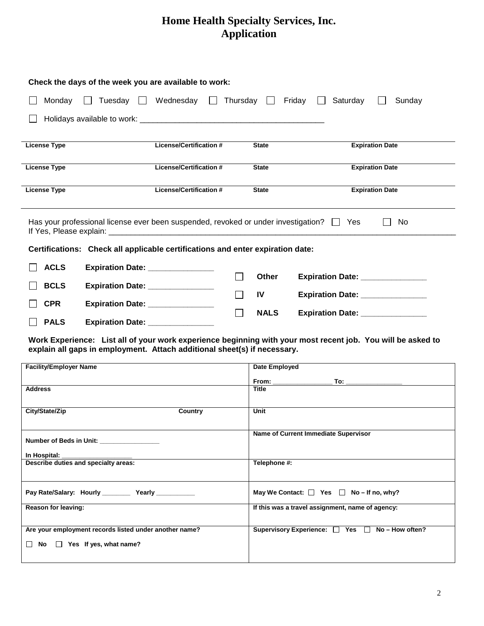|                     |                                   | Check the days of the week you are available to work:                                         |               |                                  |
|---------------------|-----------------------------------|-----------------------------------------------------------------------------------------------|---------------|----------------------------------|
|                     |                                   | Monday $\Box$ Tuesday $\Box$ Wednesday $\Box$ Thursday $\Box$ Friday $\Box$                   |               | Saturday<br>Sunday               |
|                     |                                   |                                                                                               |               |                                  |
|                     |                                   |                                                                                               |               |                                  |
| <b>License Type</b> |                                   | <b>License/Certification #</b>                                                                | <b>State</b>  | <b>Expiration Date</b>           |
|                     |                                   |                                                                                               |               |                                  |
| <b>License Type</b> |                                   | <b>License/Certification #</b>                                                                | <b>State</b>  | <b>Expiration Date</b>           |
| <b>License Type</b> |                                   | <b>License/Certification #</b>                                                                | <b>State</b>  | <b>Expiration Date</b>           |
|                     |                                   | Has your professional license ever been suspended, revoked or under investigation? $\Box$ Yes |               | No                               |
|                     |                                   | Certifications: Check all applicable certifications and enter expiration date:                |               |                                  |
| <b>ACLS</b>         | Expiration Date: _______________  |                                                                                               |               |                                  |
|                     |                                   |                                                                                               | <b>Other</b>  | Expiration Date: _______________ |
| <b>BCLS</b>         | Expiration Date: ________________ |                                                                                               | $\mathsf{IV}$ | Expiration Date: _______________ |
| <b>CPR</b>          | Expiration Date: _______________  |                                                                                               |               |                                  |
| <b>PALS</b>         | Expiration Date: ________________ |                                                                                               | <b>NALS</b>   | Expiration Date: _______________ |

**Work Experience: List all of your work experience beginning with your most recent job. You will be asked to explain all gaps in employment. Attach additional sheet(s) if necessary.**

| <b>Facility/Employer Name</b>                          | Date Employed                                      |
|--------------------------------------------------------|----------------------------------------------------|
|                                                        |                                                    |
| <b>Address</b>                                         | Title                                              |
|                                                        |                                                    |
| City/State/Zip<br>Country                              | Unit                                               |
|                                                        |                                                    |
|                                                        | Name of Current Immediate Supervisor               |
| Number of Beds in Unit:                                |                                                    |
| In Hospital: _______________________                   |                                                    |
| Describe duties and specialty areas:                   | Telephone #:                                       |
|                                                        |                                                    |
| Pay Rate/Salary: Hourly __________ Yearly ___________  | May We Contact: $\Box$ Yes $\Box$ No – If no, why? |
|                                                        |                                                    |
| Reason for leaving:                                    | If this was a travel assignment, name of agency:   |
|                                                        |                                                    |
| Are your employment records listed under another name? | Supervisory Experience: □ Yes □ No-How often?      |
| $\Box$ No $\Box$ Yes If yes, what name?                |                                                    |
|                                                        |                                                    |
|                                                        |                                                    |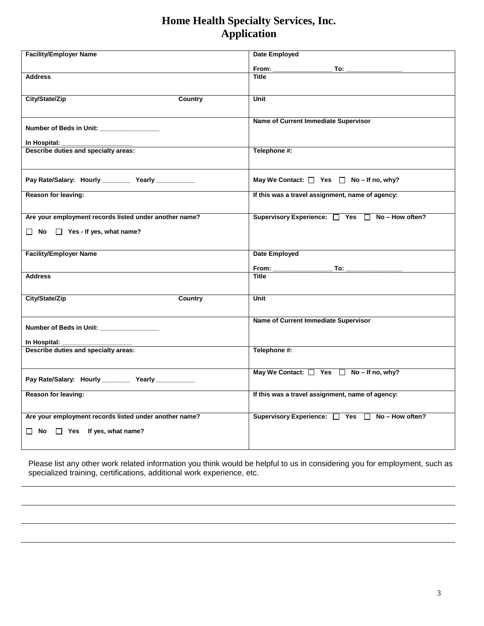| <b>Facility/Employer Name</b>                          | <b>Date Employed</b>                                                                                                                                                                                                                           |
|--------------------------------------------------------|------------------------------------------------------------------------------------------------------------------------------------------------------------------------------------------------------------------------------------------------|
|                                                        |                                                                                                                                                                                                                                                |
|                                                        | $From: \_\_$<br>To: the contract of the contract of the contract of the contract of the contract of the contract of the contract of the contract of the contract of the contract of the contract of the contract of the contract of the contra |
| <b>Address</b>                                         | Title                                                                                                                                                                                                                                          |
|                                                        |                                                                                                                                                                                                                                                |
| City/State/Zip<br><b>Country</b>                       | Unit                                                                                                                                                                                                                                           |
|                                                        |                                                                                                                                                                                                                                                |
|                                                        |                                                                                                                                                                                                                                                |
| Number of Beds in Unit: ___________________            | Name of Current Immediate Supervisor                                                                                                                                                                                                           |
|                                                        |                                                                                                                                                                                                                                                |
| In Hospital:                                           |                                                                                                                                                                                                                                                |
| Describe duties and specialty areas:                   | Telephone #:                                                                                                                                                                                                                                   |
|                                                        |                                                                                                                                                                                                                                                |
|                                                        |                                                                                                                                                                                                                                                |
| Pay Rate/Salary: Hourly ___________ Yearly ___________ | May We Contact: $\Box$ Yes $\Box$ No – If no, why?                                                                                                                                                                                             |
| Reason for leaving:                                    | If this was a travel assignment, name of agency:                                                                                                                                                                                               |
|                                                        |                                                                                                                                                                                                                                                |
|                                                        |                                                                                                                                                                                                                                                |
| Are your employment records listed under another name? | Supervisory Experience: □ Yes □ No-How often?                                                                                                                                                                                                  |
| $\Box$ No $\Box$ Yes - If yes, what name?              |                                                                                                                                                                                                                                                |
|                                                        |                                                                                                                                                                                                                                                |
|                                                        |                                                                                                                                                                                                                                                |
| <b>Facility/Employer Name</b>                          | Date Employed                                                                                                                                                                                                                                  |
|                                                        | $\overline{\phantom{a}}$ To: $\overline{\phantom{a}}$                                                                                                                                                                                          |
| <b>Address</b>                                         | Title                                                                                                                                                                                                                                          |
|                                                        |                                                                                                                                                                                                                                                |
| City/State/Zip<br>Country                              | Unit                                                                                                                                                                                                                                           |
|                                                        |                                                                                                                                                                                                                                                |
|                                                        |                                                                                                                                                                                                                                                |
|                                                        | Name of Current Immediate Supervisor                                                                                                                                                                                                           |
| Number of Beds in Unit: _________________              |                                                                                                                                                                                                                                                |
| In Hospital:                                           |                                                                                                                                                                                                                                                |
| Describe duties and specialty areas:                   | Telephone #:                                                                                                                                                                                                                                   |
|                                                        |                                                                                                                                                                                                                                                |
|                                                        | May We Contact: $\Box$ Yes $\Box$ No - If no, why?                                                                                                                                                                                             |
| Pay Rate/Salary: Hourly ___________ Yearly ___________ |                                                                                                                                                                                                                                                |
|                                                        |                                                                                                                                                                                                                                                |
| Reason for leaving:                                    | If this was a travel assignment, name of agency:                                                                                                                                                                                               |
|                                                        |                                                                                                                                                                                                                                                |
| Are your employment records listed under another name? | Supervisory Experience: □ Yes □ No-How often?                                                                                                                                                                                                  |
|                                                        |                                                                                                                                                                                                                                                |
| $\Box$ No $\Box$ Yes If yes, what name?                |                                                                                                                                                                                                                                                |
|                                                        |                                                                                                                                                                                                                                                |

Please list any other work related information you think would be helpful to us in considering you for employment, such as specialized training, certifications, additional work experience, etc.